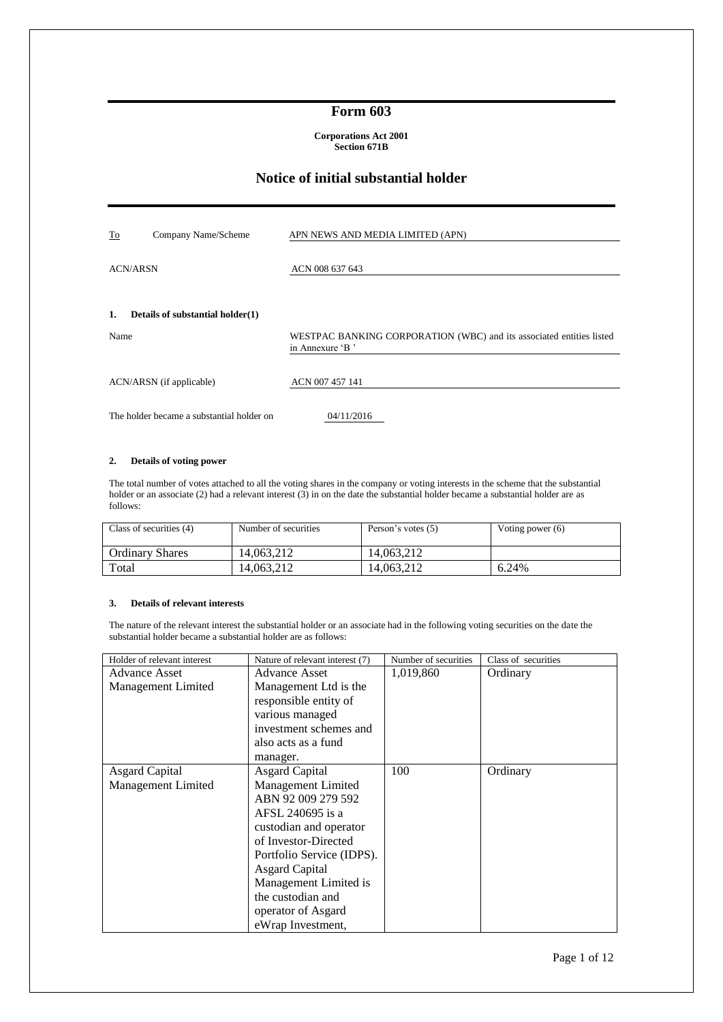## **Form 603**

#### **Corporations Act 2001 Section 671B**

# **Notice of initial substantial holder**

| To              | Company Name/Scheme                       | APN NEWS AND MEDIA LIMITED (APN)                                                        |
|-----------------|-------------------------------------------|-----------------------------------------------------------------------------------------|
| <b>ACN/ARSN</b> |                                           | ACN 008 637 643                                                                         |
| 1.              | Details of substantial holder(1)          |                                                                                         |
| Name            |                                           | WESTPAC BANKING CORPORATION (WBC) and its associated entities listed<br>in Annexure 'B' |
|                 | ACN/ARSN (if applicable)                  | ACN 007 457 141                                                                         |
|                 | The holder became a substantial holder on | 04/11/2016                                                                              |

### **2. Details of voting power**

The total number of votes attached to all the voting shares in the company or voting interests in the scheme that the substantial holder or an associate (2) had a relevant interest (3) in on the date the substantial holder became a substantial holder are as follows:

| Class of securities (4) | Number of securities | Person's votes (5) | Voting power $(6)$ |
|-------------------------|----------------------|--------------------|--------------------|
| <b>Ordinary Shares</b>  | 14.063.212           | 14.063.212         |                    |
| Total                   | 14.063.212           | 14.063.212         | 6.24%              |

### **3. Details of relevant interests**

The nature of the relevant interest the substantial holder or an associate had in the following voting securities on the date the substantial holder became a substantial holder are as follows:

| Holder of relevant interest | Nature of relevant interest (7) | Number of securities | Class of securities |
|-----------------------------|---------------------------------|----------------------|---------------------|
| Advance Asset               | <b>Advance Asset</b>            | 1,019,860            | Ordinary            |
| Management Limited          | Management Ltd is the           |                      |                     |
|                             | responsible entity of           |                      |                     |
|                             | various managed                 |                      |                     |
|                             | investment schemes and          |                      |                     |
|                             | also acts as a fund             |                      |                     |
|                             | manager.                        |                      |                     |
| <b>Asgard Capital</b>       | <b>Asgard Capital</b>           | 100                  | Ordinary            |
| Management Limited          | Management Limited              |                      |                     |
|                             | ABN 92 009 279 592              |                      |                     |
|                             | AFSL 240695 is a                |                      |                     |
|                             | custodian and operator          |                      |                     |
|                             | of Investor-Directed            |                      |                     |
|                             | Portfolio Service (IDPS).       |                      |                     |
|                             | <b>Asgard Capital</b>           |                      |                     |
|                             | Management Limited is           |                      |                     |
|                             | the custodian and               |                      |                     |
|                             | operator of Asgard              |                      |                     |
|                             | eWrap Investment,               |                      |                     |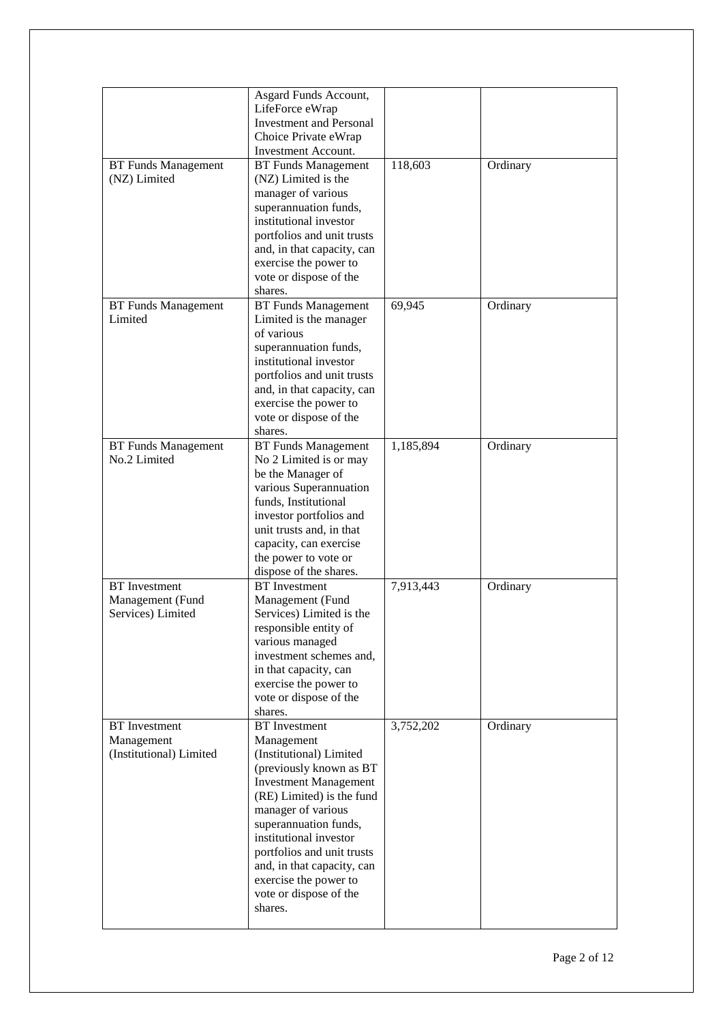|                            | Asgard Funds Account,          |           |          |
|----------------------------|--------------------------------|-----------|----------|
|                            | LifeForce eWrap                |           |          |
|                            | <b>Investment and Personal</b> |           |          |
|                            | Choice Private eWrap           |           |          |
|                            | Investment Account.            |           |          |
| <b>BT Funds Management</b> | <b>BT</b> Funds Management     | 118,603   | Ordinary |
| (NZ) Limited               | (NZ) Limited is the            |           |          |
|                            | manager of various             |           |          |
|                            |                                |           |          |
|                            | superannuation funds,          |           |          |
|                            | institutional investor         |           |          |
|                            | portfolios and unit trusts     |           |          |
|                            | and, in that capacity, can     |           |          |
|                            | exercise the power to          |           |          |
|                            | vote or dispose of the         |           |          |
|                            | shares.                        |           |          |
|                            |                                |           |          |
| <b>BT Funds Management</b> | <b>BT Funds Management</b>     | 69,945    | Ordinary |
| Limited                    | Limited is the manager         |           |          |
|                            | of various                     |           |          |
|                            | superannuation funds,          |           |          |
|                            | institutional investor         |           |          |
|                            | portfolios and unit trusts     |           |          |
|                            |                                |           |          |
|                            | and, in that capacity, can     |           |          |
|                            | exercise the power to          |           |          |
|                            | vote or dispose of the         |           |          |
|                            | shares.                        |           |          |
| <b>BT Funds Management</b> | <b>BT Funds Management</b>     | 1,185,894 | Ordinary |
| No.2 Limited               | No 2 Limited is or may         |           |          |
|                            | be the Manager of              |           |          |
|                            | various Superannuation         |           |          |
|                            |                                |           |          |
|                            | funds, Institutional           |           |          |
|                            | investor portfolios and        |           |          |
|                            | unit trusts and, in that       |           |          |
|                            | capacity, can exercise         |           |          |
|                            | the power to vote or           |           |          |
|                            | dispose of the shares.         |           |          |
| <b>BT</b> Investment       | <b>BT</b> Investment           | 7,913,443 | Ordinary |
|                            |                                |           |          |
| Management (Fund           | Management (Fund               |           |          |
| Services) Limited          | Services) Limited is the       |           |          |
|                            | responsible entity of          |           |          |
|                            | various managed                |           |          |
|                            | investment schemes and,        |           |          |
|                            | in that capacity, can          |           |          |
|                            | exercise the power to          |           |          |
|                            |                                |           |          |
|                            | vote or dispose of the         |           |          |
|                            | shares.                        |           |          |
| <b>BT</b> Investment       | <b>BT</b> Investment           | 3,752,202 | Ordinary |
| Management                 | Management                     |           |          |
| (Institutional) Limited    | (Institutional) Limited        |           |          |
|                            | (previously known as BT        |           |          |
|                            | <b>Investment Management</b>   |           |          |
|                            | (RE) Limited) is the fund      |           |          |
|                            |                                |           |          |
|                            | manager of various             |           |          |
|                            | superannuation funds,          |           |          |
|                            | institutional investor         |           |          |
|                            | portfolios and unit trusts     |           |          |
|                            | and, in that capacity, can     |           |          |
|                            | exercise the power to          |           |          |
|                            | vote or dispose of the         |           |          |
|                            | shares.                        |           |          |
|                            |                                |           |          |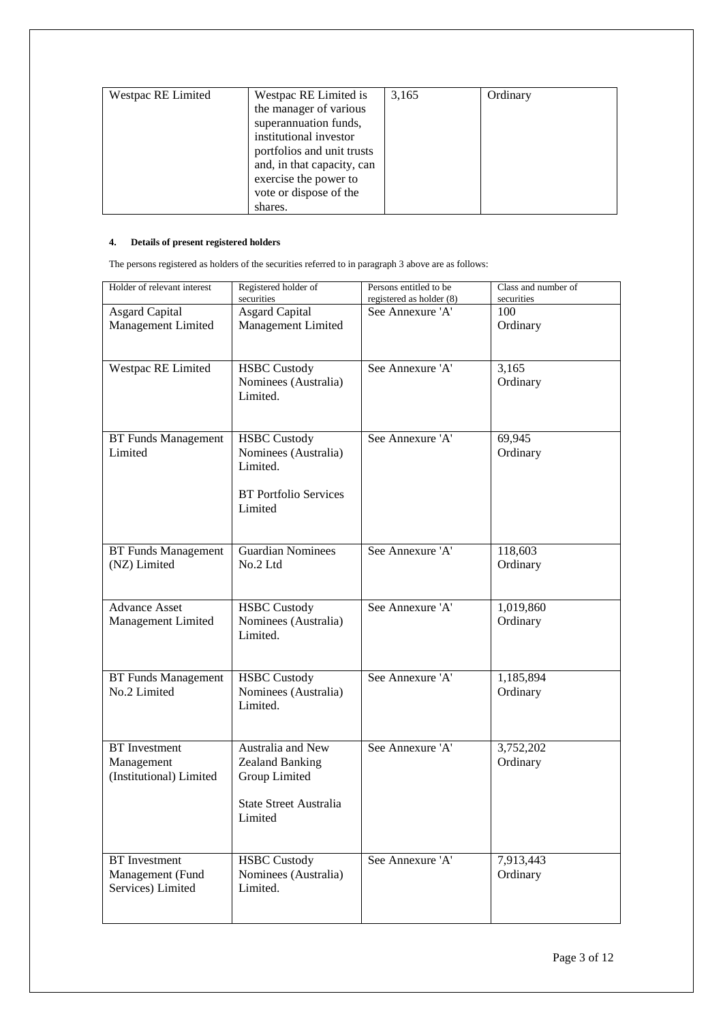| Westpac RE Limited | Westpac RE Limited is      | 3,165 | Ordinary |
|--------------------|----------------------------|-------|----------|
|                    | the manager of various     |       |          |
|                    | superannuation funds,      |       |          |
|                    | institutional investor     |       |          |
|                    | portfolios and unit trusts |       |          |
|                    | and, in that capacity, can |       |          |
|                    | exercise the power to      |       |          |
|                    | vote or dispose of the     |       |          |
|                    | shares.                    |       |          |

# **4. Details of present registered holders**

The persons registered as holders of the securities referred to in paragraph 3 above are as follows:

| Holder of relevant interest                                   | Registered holder of<br>securities                                                                       | Persons entitled to be<br>registered as holder (8) | Class and number of<br>securities |
|---------------------------------------------------------------|----------------------------------------------------------------------------------------------------------|----------------------------------------------------|-----------------------------------|
| <b>Asgard Capital</b><br>Management Limited                   | <b>Asgard Capital</b><br>Management Limited                                                              | See Annexure 'A'                                   | 100<br>Ordinary                   |
| Westpac RE Limited                                            | <b>HSBC</b> Custody<br>Nominees (Australia)<br>Limited.                                                  | See Annexure 'A'                                   | 3,165<br>Ordinary                 |
| <b>BT Funds Management</b><br>Limited                         | <b>HSBC</b> Custody<br>Nominees (Australia)<br>Limited.<br><b>BT</b> Portfolio Services<br>Limited       | See Annexure 'A'                                   | 69,945<br>Ordinary                |
| <b>BT</b> Funds Management<br>(NZ) Limited                    | <b>Guardian Nominees</b><br>No.2 Ltd                                                                     | See Annexure 'A'                                   | 118,603<br>Ordinary               |
| <b>Advance Asset</b><br>Management Limited                    | <b>HSBC</b> Custody<br>Nominees (Australia)<br>Limited.                                                  | See Annexure 'A'                                   | 1,019,860<br>Ordinary             |
| <b>BT Funds Management</b><br>No.2 Limited                    | <b>HSBC</b> Custody<br>Nominees (Australia)<br>Limited.                                                  | See Annexure 'A'                                   | 1,185,894<br>Ordinary             |
| <b>BT</b> Investment<br>Management<br>(Institutional) Limited | Australia and New<br><b>Zealand Banking</b><br>Group Limited<br><b>State Street Australia</b><br>Limited | See Annexure 'A'                                   | 3,752,202<br>Ordinary             |
| <b>BT</b> Investment<br>Management (Fund<br>Services) Limited | <b>HSBC</b> Custody<br>Nominees (Australia)<br>Limited.                                                  | See Annexure 'A'                                   | 7,913,443<br>Ordinary             |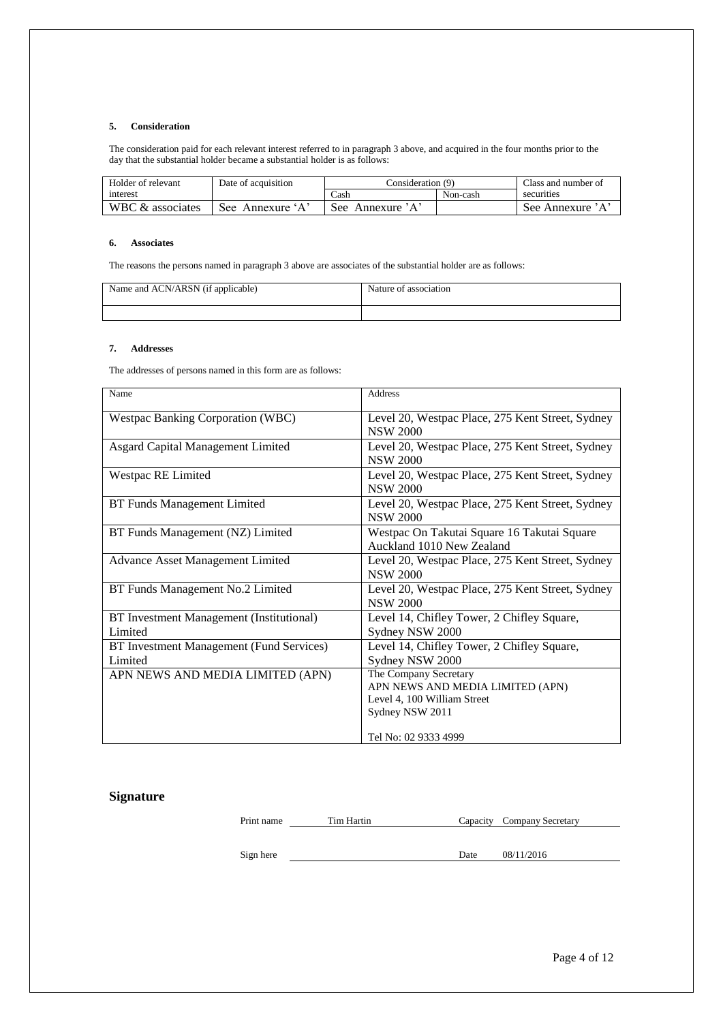### **5. Consideration**

The consideration paid for each relevant interest referred to in paragraph 3 above, and acquired in the four months prior to the day that the substantial holder became a substantial holder is as follows:

| Holder of relevant | Date of acquisition | Consideration (9) |          | Class and number of |
|--------------------|---------------------|-------------------|----------|---------------------|
| interest           |                     | `ash              | Non-cash | securities          |
| WBC & associates   | See Annexure        | See -<br>Annexure |          | See Annexure        |

#### **6. Associates**

The reasons the persons named in paragraph 3 above are associates of the substantial holder are as follows:

| Name and ACN/ARSN (if applicable) | Nature of association |
|-----------------------------------|-----------------------|
|                                   |                       |

### **7. Addresses**

The addresses of persons named in this form are as follows:

| Name                                                | <b>Address</b>                                                           |
|-----------------------------------------------------|--------------------------------------------------------------------------|
| <b>Westpac Banking Corporation (WBC)</b>            | Level 20, Westpac Place, 275 Kent Street, Sydney<br><b>NSW 2000</b>      |
| <b>Asgard Capital Management Limited</b>            | Level 20, Westpac Place, 275 Kent Street, Sydney<br><b>NSW 2000</b>      |
| <b>Westpac RE Limited</b>                           | Level 20, Westpac Place, 275 Kent Street, Sydney<br><b>NSW 2000</b>      |
| <b>BT Funds Management Limited</b>                  | Level 20, Westpac Place, 275 Kent Street, Sydney<br><b>NSW 2000</b>      |
| BT Funds Management (NZ) Limited                    | Westpac On Takutai Square 16 Takutai Square<br>Auckland 1010 New Zealand |
| Advance Asset Management Limited                    | Level 20, Westpac Place, 275 Kent Street, Sydney<br><b>NSW 2000</b>      |
| BT Funds Management No.2 Limited                    | Level 20, Westpac Place, 275 Kent Street, Sydney<br><b>NSW 2000</b>      |
| BT Investment Management (Institutional)<br>Limited | Level 14, Chifley Tower, 2 Chifley Square,<br>Sydney NSW 2000            |
| BT Investment Management (Fund Services)<br>Limited | Level 14, Chifley Tower, 2 Chifley Square,<br>Sydney NSW 2000            |
| APN NEWS AND MEDIA LIMITED (APN)                    | The Company Secretary<br>APN NEWS AND MEDIA LIMITED (APN)                |
|                                                     | Level 4, 100 William Street<br>Sydney NSW 2011                           |
|                                                     | Tel No: 02 9333 4999                                                     |

# **Signature**

Print name Tim Hartin Capacity Company Secretary

Sign here Date 08/11/2016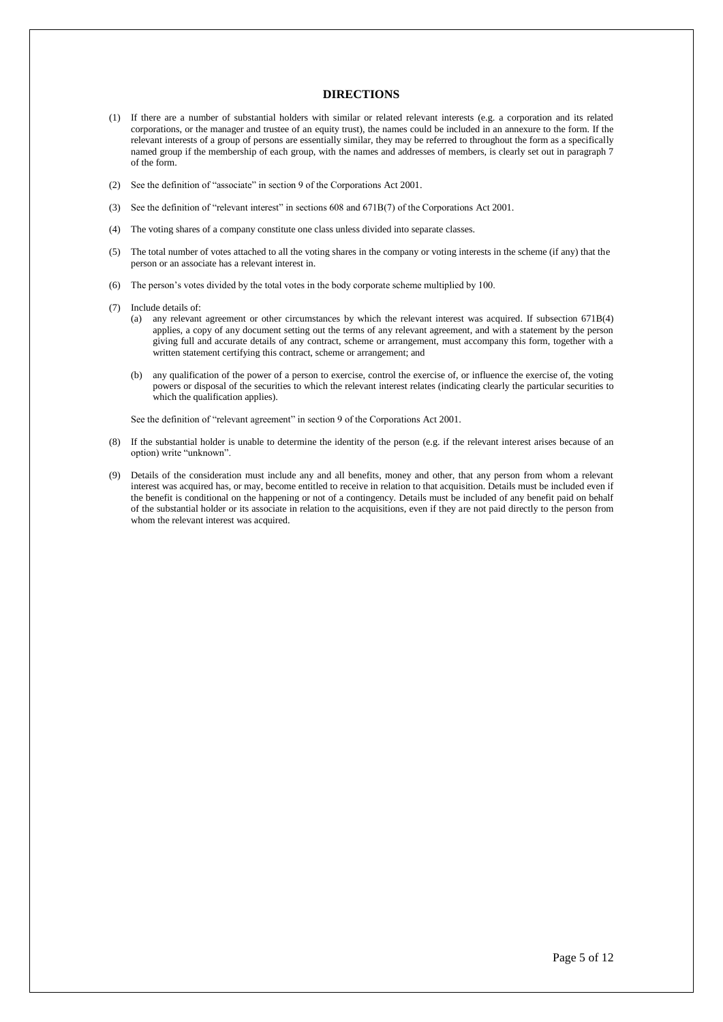### **DIRECTIONS**

- (1) If there are a number of substantial holders with similar or related relevant interests (e.g. a corporation and its related corporations, or the manager and trustee of an equity trust), the names could be included in an annexure to the form. If the relevant interests of a group of persons are essentially similar, they may be referred to throughout the form as a specifically named group if the membership of each group, with the names and addresses of members, is clearly set out in paragraph 7 of the form.
- (2) See the definition of "associate" in section 9 of the Corporations Act 2001.
- (3) See the definition of "relevant interest" in sections 608 and 671B(7) of the Corporations Act 2001.
- (4) The voting shares of a company constitute one class unless divided into separate classes.
- (5) The total number of votes attached to all the voting shares in the company or voting interests in the scheme (if any) that the person or an associate has a relevant interest in.
- (6) The person's votes divided by the total votes in the body corporate scheme multiplied by 100.
- (7) Include details of:
	- (a) any relevant agreement or other circumstances by which the relevant interest was acquired. If subsection 671B(4) applies, a copy of any document setting out the terms of any relevant agreement, and with a statement by the person giving full and accurate details of any contract, scheme or arrangement, must accompany this form, together with a written statement certifying this contract, scheme or arrangement; and
	- (b) any qualification of the power of a person to exercise, control the exercise of, or influence the exercise of, the voting powers or disposal of the securities to which the relevant interest relates (indicating clearly the particular securities to which the qualification applies).

See the definition of "relevant agreement" in section 9 of the Corporations Act 2001.

- (8) If the substantial holder is unable to determine the identity of the person (e.g. if the relevant interest arises because of an option) write "unknown".
- (9) Details of the consideration must include any and all benefits, money and other, that any person from whom a relevant interest was acquired has, or may, become entitled to receive in relation to that acquisition. Details must be included even if the benefit is conditional on the happening or not of a contingency. Details must be included of any benefit paid on behalf of the substantial holder or its associate in relation to the acquisitions, even if they are not paid directly to the person from whom the relevant interest was acquired.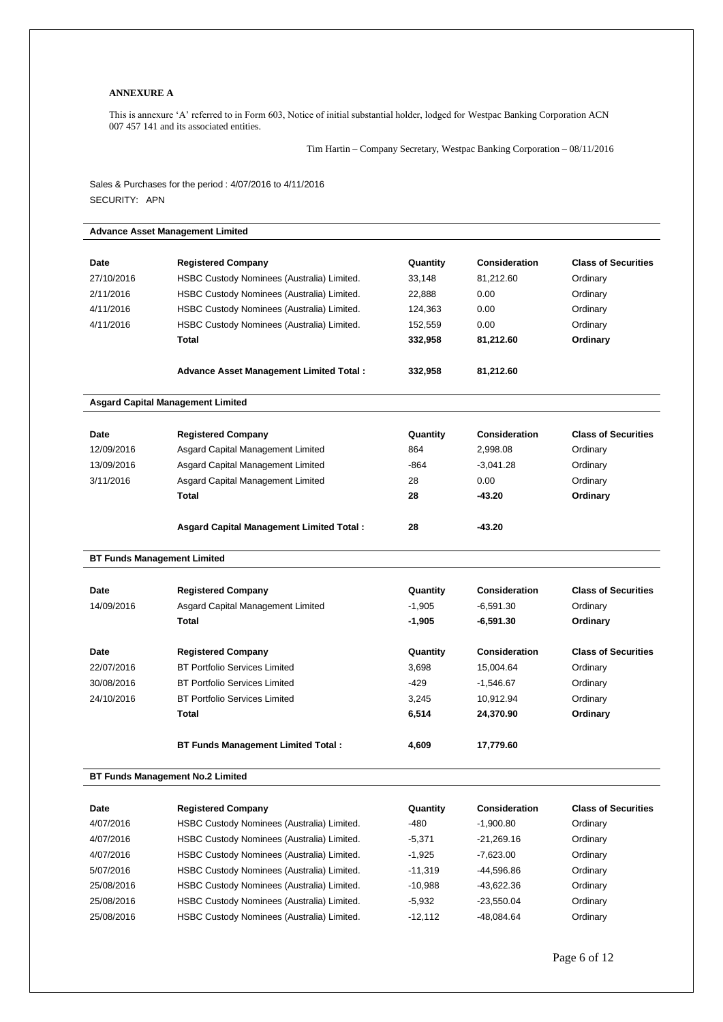### **ANNEXURE A**

This is annexure 'A' referred to in Form 603, Notice of initial substantial holder, lodged for Westpac Banking Corporation ACN 007 457 141 and its associated entities.

Tim Hartin – Company Secretary, Westpac Banking Corporation – 08/11/2016

Sales & Purchases for the period : 4/07/2016 to 4/11/2016 SECURITY: APN

|            | <b>Advance Asset Management Limited</b>    |           |                      |                            |
|------------|--------------------------------------------|-----------|----------------------|----------------------------|
| Date       | <b>Registered Company</b>                  | Quantity  | Consideration        | <b>Class of Securities</b> |
| 27/10/2016 | HSBC Custody Nominees (Australia) Limited. | 33,148    | 81,212.60            | Ordinary                   |
| 2/11/2016  | HSBC Custody Nominees (Australia) Limited. | 22.888    | 0.00                 | Ordinary                   |
| 4/11/2016  | HSBC Custody Nominees (Australia) Limited. | 124,363   | 0.00                 | Ordinary                   |
| 4/11/2016  | HSBC Custody Nominees (Australia) Limited. | 152,559   | 0.00                 | Ordinary                   |
|            | <b>Total</b>                               | 332,958   | 81,212.60            | Ordinary                   |
|            | Advance Asset Management Limited Total :   | 332,958   | 81,212.60            |                            |
|            | <b>Asgard Capital Management Limited</b>   |           |                      |                            |
| Date       | <b>Registered Company</b>                  | Quantity  | <b>Consideration</b> | <b>Class of Securities</b> |
| 12/09/2016 | Asgard Capital Management Limited          | 864       | 2,998.08             | Ordinary                   |
| 13/09/2016 | Asgard Capital Management Limited          | $-864$    | $-3,041.28$          | Ordinary                   |
| 3/11/2016  | Asgard Capital Management Limited          | 28        | 0.00                 | Ordinary                   |
|            | Total                                      | 28        | $-43.20$             | Ordinary                   |
|            | Asgard Capital Management Limited Total:   | 28        | $-43.20$             |                            |
|            | <b>BT Funds Management Limited</b>         |           |                      |                            |
| Date       | <b>Registered Company</b>                  | Quantity  | Consideration        | <b>Class of Securities</b> |
| 14/09/2016 | Asgard Capital Management Limited          | $-1,905$  | $-6,591.30$          | Ordinary                   |
|            | <b>Total</b>                               | $-1,905$  | -6,591.30            | Ordinary                   |
| Date       | <b>Registered Company</b>                  | Quantity  | <b>Consideration</b> | <b>Class of Securities</b> |
| 22/07/2016 | <b>BT Portfolio Services Limited</b>       | 3,698     | 15,004.64            | Ordinary                   |
| 30/08/2016 | <b>BT Portfolio Services Limited</b>       | $-429$    | $-1,546.67$          | Ordinary                   |
| 24/10/2016 | <b>BT Portfolio Services Limited</b>       | 3,245     | 10,912.94            | Ordinary                   |
|            | Total                                      | 6,514     | 24,370.90            | Ordinary                   |
|            | <b>BT Funds Management Limited Total:</b>  | 4,609     | 17,779.60            |                            |
|            | <b>BT Funds Management No.2 Limited</b>    |           |                      |                            |
| Date       | <b>Registered Company</b>                  | Quantity  | <b>Consideration</b> | <b>Class of Securities</b> |
| 4/07/2016  | HSBC Custody Nominees (Australia) Limited. | $-480$    | $-1,900.80$          | Ordinary                   |
| 4/07/2016  | HSBC Custody Nominees (Australia) Limited. | $-5,371$  | -21,269.16           | Ordinary                   |
| 4/07/2016  | HSBC Custody Nominees (Australia) Limited. | $-1,925$  | $-7,623.00$          | Ordinary                   |
| 5/07/2016  | HSBC Custody Nominees (Australia) Limited. | $-11,319$ | -44,596.86           | Ordinary                   |
| 25/08/2016 | HSBC Custody Nominees (Australia) Limited. | $-10,988$ | -43,622.36           | Ordinary                   |
| 25/08/2016 | HSBC Custody Nominees (Australia) Limited. | $-5,932$  | $-23,550.04$         | Ordinary                   |
| 25/08/2016 | HSBC Custody Nominees (Australia) Limited. | $-12,112$ | $-48,084.64$         | Ordinary                   |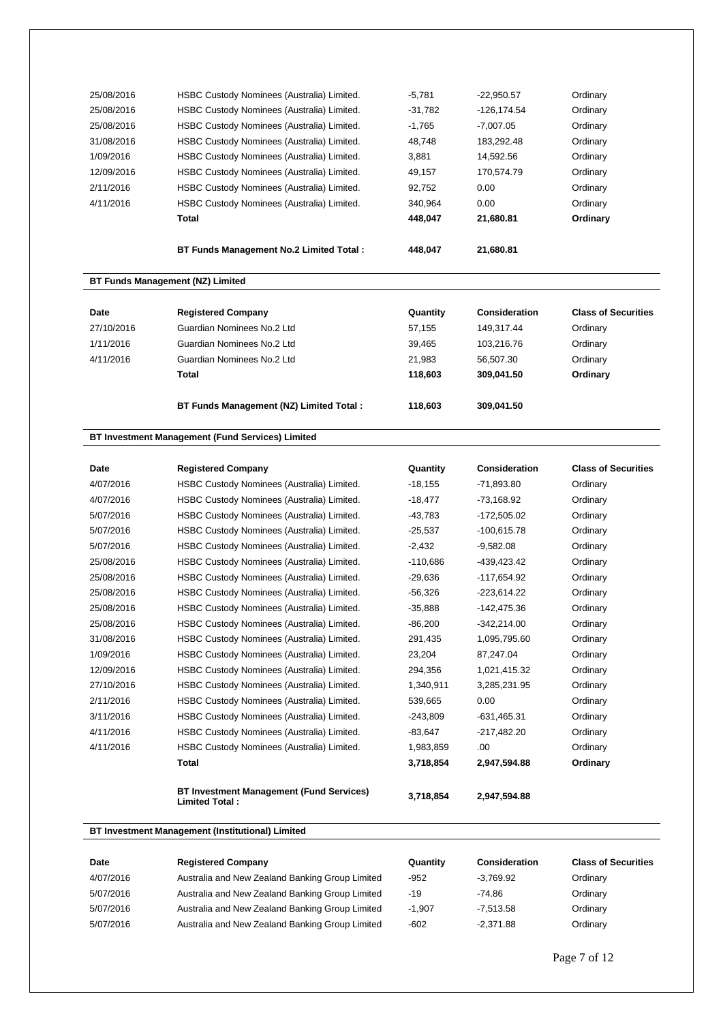| <b>BT Funds Management No.2 Limited Total:</b> | 448.047   | 21.680.81     |          |  |
|------------------------------------------------|-----------|---------------|----------|--|
| Total                                          | 448.047   | 21.680.81     | Ordinary |  |
| HSBC Custody Nominees (Australia) Limited.     | 340.964   | 0.00          | Ordinary |  |
| HSBC Custody Nominees (Australia) Limited.     | 92.752    | 0.00          | Ordinary |  |
| HSBC Custody Nominees (Australia) Limited.     | 49,157    | 170.574.79    | Ordinary |  |
| HSBC Custody Nominees (Australia) Limited.     | 3.881     | 14.592.56     | Ordinary |  |
| HSBC Custody Nominees (Australia) Limited.     | 48.748    | 183,292.48    | Ordinary |  |
| HSBC Custody Nominees (Australia) Limited.     | $-1.765$  | -7.007.05     | Ordinary |  |
| HSBC Custody Nominees (Australia) Limited.     | $-31,782$ | $-126.174.54$ | Ordinary |  |
| HSBC Custody Nominees (Australia) Limited.     | $-5.781$  | $-22.950.57$  | Ordinary |  |
|                                                |           |               |          |  |

## **BT Funds Management (NZ) Limited**

| Date       | <b>Registered Company</b>                | Quantity | Consideration | <b>Class of Securities</b> |
|------------|------------------------------------------|----------|---------------|----------------------------|
| 27/10/2016 | Guardian Nominees No.2 Ltd               | 57,155   | 149.317.44    | Ordinary                   |
| 1/11/2016  | Guardian Nominees No.2 Ltd               | 39,465   | 103.216.76    | Ordinary                   |
| 4/11/2016  | Guardian Nominees No.2 Ltd               | 21,983   | 56.507.30     | Ordinary                   |
|            | Total                                    | 118.603  | 309.041.50    | Ordinary                   |
|            | BT Funds Management (NZ) Limited Total : | 118.603  | 309.041.50    |                            |

## **BT Investment Management (Fund Services) Limited**

| Date       | <b>Registered Company</b>                                                | Quantity   | <b>Consideration</b> | <b>Class of Securities</b> |
|------------|--------------------------------------------------------------------------|------------|----------------------|----------------------------|
| 4/07/2016  | HSBC Custody Nominees (Australia) Limited.                               | $-18,155$  | -71,893.80           | Ordinary                   |
| 4/07/2016  | HSBC Custody Nominees (Australia) Limited.                               | $-18,477$  | $-73.168.92$         | Ordinary                   |
| 5/07/2016  | HSBC Custody Nominees (Australia) Limited.                               | $-43,783$  | $-172,505.02$        | Ordinary                   |
| 5/07/2016  | HSBC Custody Nominees (Australia) Limited.                               | $-25,537$  | $-100,615.78$        | Ordinary                   |
| 5/07/2016  | HSBC Custody Nominees (Australia) Limited.                               | $-2,432$   | $-9.582.08$          | Ordinary                   |
| 25/08/2016 | HSBC Custody Nominees (Australia) Limited.                               | $-110,686$ | -439,423.42          | Ordinary                   |
| 25/08/2016 | HSBC Custody Nominees (Australia) Limited.                               | $-29,636$  | -117,654.92          | Ordinary                   |
| 25/08/2016 | HSBC Custody Nominees (Australia) Limited.                               | $-56,326$  | $-223.614.22$        | Ordinary                   |
| 25/08/2016 | HSBC Custody Nominees (Australia) Limited.                               | $-35,888$  | $-142,475.36$        | Ordinary                   |
| 25/08/2016 | HSBC Custody Nominees (Australia) Limited.                               | $-86,200$  | $-342,214.00$        | Ordinary                   |
| 31/08/2016 | HSBC Custody Nominees (Australia) Limited.                               | 291,435    | 1,095,795.60         | Ordinary                   |
| 1/09/2016  | HSBC Custody Nominees (Australia) Limited.                               | 23,204     | 87,247.04            | Ordinary                   |
| 12/09/2016 | HSBC Custody Nominees (Australia) Limited.                               | 294,356    | 1,021,415.32         | Ordinary                   |
| 27/10/2016 | HSBC Custody Nominees (Australia) Limited.                               | 1,340,911  | 3,285,231.95         | Ordinary                   |
| 2/11/2016  | HSBC Custody Nominees (Australia) Limited.                               | 539,665    | 0.00                 | Ordinary                   |
| 3/11/2016  | HSBC Custody Nominees (Australia) Limited.                               | $-243,809$ | $-631,465.31$        | Ordinary                   |
| 4/11/2016  | HSBC Custody Nominees (Australia) Limited.                               | $-83,647$  | $-217,482.20$        | Ordinary                   |
| 4/11/2016  | HSBC Custody Nominees (Australia) Limited.                               | 1,983,859  | .00.                 | Ordinary                   |
|            | Total                                                                    | 3,718,854  | 2,947,594.88         | Ordinary                   |
|            | <b>BT Investment Management (Fund Services)</b><br><b>Limited Total:</b> | 3.718.854  | 2.947.594.88         |                            |

## **BT Investment Management (Institutional) Limited**

| Date      | <b>Registered Company</b>                       | Quantity | <b>Consideration</b> | <b>Class of Securities</b> |
|-----------|-------------------------------------------------|----------|----------------------|----------------------------|
| 4/07/2016 | Australia and New Zealand Banking Group Limited | $-952$   | $-3.769.92$          | Ordinary                   |
| 5/07/2016 | Australia and New Zealand Banking Group Limited | $-19$    | -74.86               | Ordinary                   |
| 5/07/2016 | Australia and New Zealand Banking Group Limited | $-1.907$ | $-7.513.58$          | Ordinary                   |
| 5/07/2016 | Australia and New Zealand Banking Group Limited | $-602$   | $-2.371.88$          | Ordinary                   |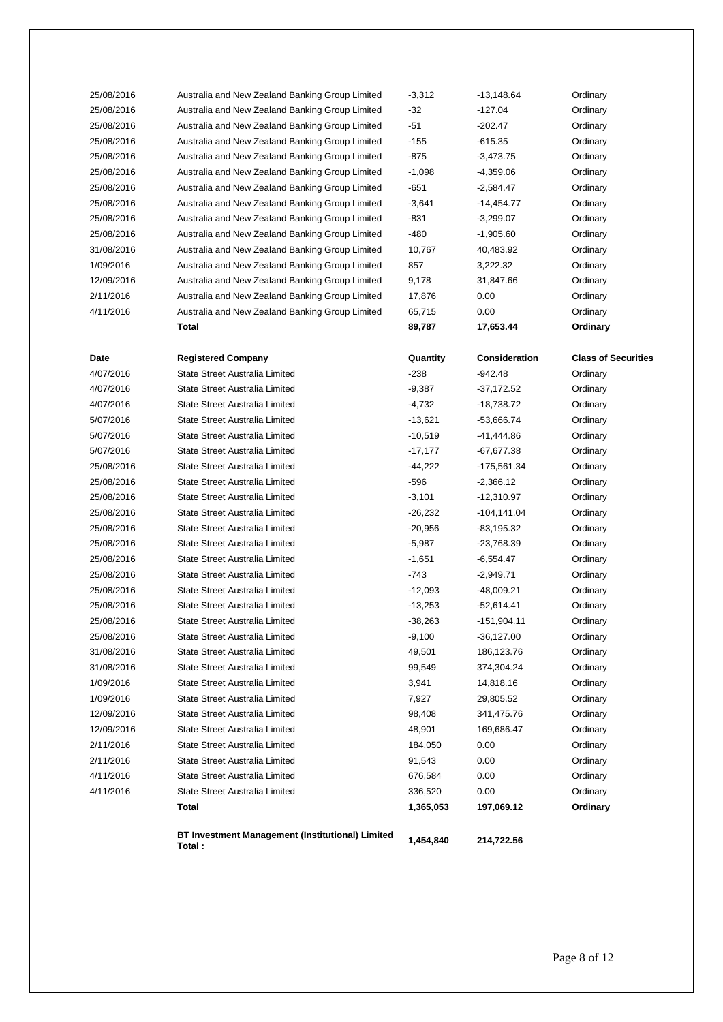|            | BT Investment Management (Institutional) Limited<br>Total: | 1,454,840 | 214,722.56           |                            |
|------------|------------------------------------------------------------|-----------|----------------------|----------------------------|
|            | Total                                                      | 1,365,053 | 197,069.12           | Ordinary                   |
| 4/11/2016  | State Street Australia Limited                             | 336,520   | 0.00                 | Ordinary                   |
| 4/11/2016  | State Street Australia Limited                             | 676,584   | 0.00                 | Ordinary                   |
| 2/11/2016  | State Street Australia Limited                             | 91,543    | 0.00                 | Ordinary                   |
| 2/11/2016  | State Street Australia Limited                             | 184,050   | 0.00                 | Ordinary                   |
| 12/09/2016 | State Street Australia Limited                             | 48,901    | 169,686.47           | Ordinary                   |
| 12/09/2016 | State Street Australia Limited                             | 98,408    | 341,475.76           | Ordinary                   |
| 1/09/2016  | State Street Australia Limited                             | 7,927     | 29,805.52            | Ordinary                   |
| 1/09/2016  | State Street Australia Limited                             | 3,941     | 14,818.16            | Ordinary                   |
| 31/08/2016 | State Street Australia Limited                             | 99,549    | 374,304.24           | Ordinary                   |
| 31/08/2016 | State Street Australia Limited                             | 49,501    | 186,123.76           | Ordinary                   |
| 25/08/2016 | State Street Australia Limited                             | $-9,100$  | -36,127.00           | Ordinary                   |
| 25/08/2016 | State Street Australia Limited                             | $-38,263$ | $-151,904.11$        | Ordinary                   |
| 25/08/2016 | State Street Australia Limited                             | $-13,253$ | $-52,614.41$         | Ordinary                   |
| 25/08/2016 | State Street Australia Limited                             | $-12,093$ | -48,009.21           | Ordinary                   |
| 25/08/2016 | State Street Australia Limited                             | -743      | $-2,949.71$          | Ordinary                   |
| 25/08/2016 | State Street Australia Limited                             | $-1,651$  | $-6,554.47$          | Ordinary                   |
| 25/08/2016 | State Street Australia Limited                             | $-5,987$  | -23,768.39           | Ordinary                   |
| 25/08/2016 | State Street Australia Limited                             | $-20,956$ | $-83,195.32$         | Ordinary                   |
| 25/08/2016 | State Street Australia Limited                             | $-26,232$ | $-104, 141.04$       | Ordinary                   |
| 25/08/2016 | State Street Australia Limited                             | $-3,101$  | $-12,310.97$         | Ordinary                   |
| 25/08/2016 | State Street Australia Limited                             | $-596$    | $-2,366.12$          | Ordinary                   |
| 25/08/2016 | State Street Australia Limited                             | $-44,222$ | -175,561.34          | Ordinary                   |
| 5/07/2016  | State Street Australia Limited                             | $-17,177$ | -67,677.38           | Ordinary                   |
| 5/07/2016  | State Street Australia Limited                             | $-10,519$ | -41,444.86           | Ordinary                   |
| 5/07/2016  | State Street Australia Limited                             | $-13,621$ | -53,666.74           | Ordinary                   |
| 4/07/2016  | State Street Australia Limited                             | $-4,732$  | -18,738.72           | Ordinary                   |
| 4/07/2016  | State Street Australia Limited                             | $-9,387$  | -37,172.52           | Ordinary                   |
| 4/07/2016  | State Street Australia Limited                             | $-238$    | $-942.48$            | Ordinary                   |
| Date       | <b>Registered Company</b>                                  | Quantity  | <b>Consideration</b> | <b>Class of Securities</b> |
|            | Total                                                      | 89,787    | 17,653.44            | Ordinary                   |
| 4/11/2016  | Australia and New Zealand Banking Group Limited            | 65,715    | 0.00                 | Ordinary                   |
| 2/11/2016  | Australia and New Zealand Banking Group Limited            | 17,876    | 0.00                 | Ordinary                   |
| 12/09/2016 | Australia and New Zealand Banking Group Limited            | 9,178     | 31,847.66            | Ordinary                   |
| 1/09/2016  | Australia and New Zealand Banking Group Limited            | 857       | 3,222.32             | Ordinary                   |
| 31/08/2016 | Australia and New Zealand Banking Group Limited            | 10,767    | 40,483.92            | Ordinary                   |
| 25/08/2016 | Australia and New Zealand Banking Group Limited            | $-480$    | $-1,905.60$          | Ordinary                   |
| 25/08/2016 | Australia and New Zealand Banking Group Limited            | $-831$    | $-3,299.07$          | Ordinary                   |
| 25/08/2016 | Australia and New Zealand Banking Group Limited            | $-3,641$  | $-14,454.77$         | Ordinary                   |
| 25/08/2016 | Australia and New Zealand Banking Group Limited            | $-651$    | $-2,584.47$          | Ordinary                   |
| 25/08/2016 | Australia and New Zealand Banking Group Limited            | $-1,098$  | $-4,359.06$          | Ordinary                   |
| 25/08/2016 | Australia and New Zealand Banking Group Limited            | $-875$    | $-3,473.75$          | Ordinary                   |
| 25/08/2016 | Australia and New Zealand Banking Group Limited            | $-155$    | $-615.35$            | Ordinary                   |
| 25/08/2016 | Australia and New Zealand Banking Group Limited            | -51       | $-202.47$            | Ordinary                   |
| 25/08/2016 | Australia and New Zealand Banking Group Limited            | $-32$     | -127.04              | Ordinary                   |
| 25/08/2016 | Australia and New Zealand Banking Group Limited            | $-3,312$  | $-13,148.64$         | Ordinary                   |
|            |                                                            |           |                      |                            |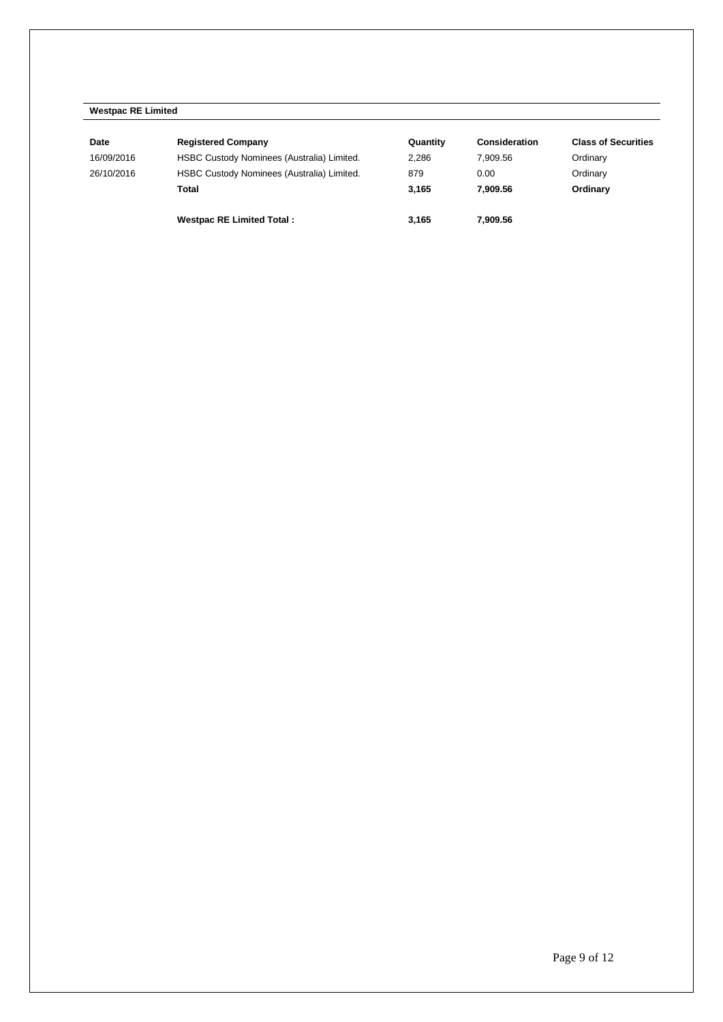# **Westpac RE Limited**

| Date       | <b>Registered Company</b>                  | Quantity | <b>Consideration</b> | <b>Class of Securities</b> |
|------------|--------------------------------------------|----------|----------------------|----------------------------|
| 16/09/2016 | HSBC Custody Nominees (Australia) Limited. | 2.286    | 7.909.56             | Ordinary                   |
| 26/10/2016 | HSBC Custody Nominees (Australia) Limited. | 879      | 0.00                 | Ordinary                   |
|            | Total                                      | 3.165    | 7.909.56             | Ordinary                   |
|            | <b>Westpac RE Limited Total:</b>           | 3.165    | 7.909.56             |                            |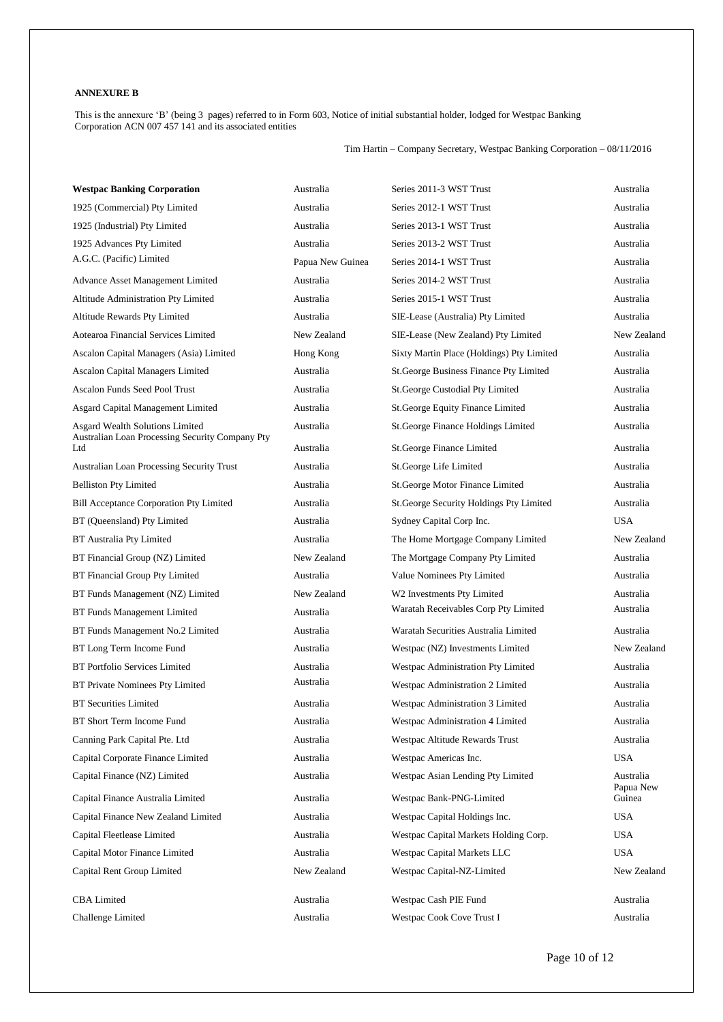### **ANNEXURE B**

This is the annexure 'B' (being 3 pages) referred to in Form 603, Notice of initial substantial holder, lodged for Westpac Banking Corporation ACN 007 457 141 and its associated entities

Tim Hartin – Company Secretary, Westpac Banking Corporation – 08/11/2016

| <b>Westpac Banking Corporation</b>                                                 | Australia        | Series 2011-3 WST Trust                   | Australia           |
|------------------------------------------------------------------------------------|------------------|-------------------------------------------|---------------------|
| 1925 (Commercial) Pty Limited                                                      | Australia        | Series 2012-1 WST Trust                   | Australia           |
| 1925 (Industrial) Pty Limited                                                      | Australia        | Series 2013-1 WST Trust                   | Australia           |
| 1925 Advances Pty Limited                                                          | Australia        | Series 2013-2 WST Trust                   | Australia           |
| A.G.C. (Pacific) Limited                                                           | Papua New Guinea | Series 2014-1 WST Trust                   | Australia           |
| Advance Asset Management Limited                                                   | Australia        | Series 2014-2 WST Trust                   | Australia           |
| Altitude Administration Pty Limited                                                | Australia        | Series 2015-1 WST Trust                   | Australia           |
| Altitude Rewards Pty Limited                                                       | Australia        | SIE-Lease (Australia) Pty Limited         | Australia           |
| Aotearoa Financial Services Limited                                                | New Zealand      | SIE-Lease (New Zealand) Pty Limited       | New Zealand         |
| Ascalon Capital Managers (Asia) Limited                                            | Hong Kong        | Sixty Martin Place (Holdings) Pty Limited | Australia           |
| Ascalon Capital Managers Limited                                                   | Australia        | St. George Business Finance Pty Limited   | Australia           |
| Ascalon Funds Seed Pool Trust                                                      | Australia        | <b>St. George Custodial Pty Limited</b>   | Australia           |
| Asgard Capital Management Limited                                                  | Australia        | St.George Equity Finance Limited          | Australia           |
| Asgard Wealth Solutions Limited<br>Australian Loan Processing Security Company Pty | Australia        | St. George Finance Holdings Limited       | Australia           |
| Ltd                                                                                | Australia        | St.George Finance Limited                 | Australia           |
| <b>Australian Loan Processing Security Trust</b>                                   | Australia        | St.George Life Limited                    | Australia           |
| <b>Belliston Pty Limited</b>                                                       | Australia        | St.George Motor Finance Limited           | Australia           |
| Bill Acceptance Corporation Pty Limited                                            | Australia        | St. George Security Holdings Pty Limited  | Australia           |
| BT (Queensland) Pty Limited                                                        | Australia        | Sydney Capital Corp Inc.                  | <b>USA</b>          |
| BT Australia Pty Limited                                                           | Australia        | The Home Mortgage Company Limited         | New Zealand         |
| BT Financial Group (NZ) Limited                                                    | New Zealand      | The Mortgage Company Pty Limited          | Australia           |
| BT Financial Group Pty Limited                                                     | Australia        | Value Nominees Pty Limited                | Australia           |
| BT Funds Management (NZ) Limited                                                   | New Zealand      | W2 Investments Pty Limited                | Australia           |
| BT Funds Management Limited                                                        | Australia        | Waratah Receivables Corp Pty Limited      | Australia           |
| BT Funds Management No.2 Limited                                                   | Australia        | Waratah Securities Australia Limited      | Australia           |
| BT Long Term Income Fund                                                           | Australia        | Westpac (NZ) Investments Limited          | New Zealand         |
| <b>BT Portfolio Services Limited</b>                                               | Australia        | Westpac Administration Pty Limited        | Australia           |
| BT Private Nominees Pty Limited                                                    | Australia        | Westpac Administration 2 Limited          | Australia           |
| <b>BT</b> Securities Limited                                                       | Australia        | Westpac Administration 3 Limited          | Australia           |
| BT Short Term Income Fund                                                          | Australia        | Westpac Administration 4 Limited          | Australia           |
| Canning Park Capital Pte. Ltd                                                      | Australia        | Westpac Altitude Rewards Trust            | Australia           |
| Capital Corporate Finance Limited                                                  | Australia        | Westpac Americas Inc.                     | <b>USA</b>          |
| Capital Finance (NZ) Limited                                                       | Australia        | Westpac Asian Lending Pty Limited         | Australia           |
| Capital Finance Australia Limited                                                  | Australia        | Westpac Bank-PNG-Limited                  | Papua New<br>Guinea |
| Capital Finance New Zealand Limited                                                | Australia        | Westpac Capital Holdings Inc.             | <b>USA</b>          |
| Capital Fleetlease Limited                                                         | Australia        | Westpac Capital Markets Holding Corp.     | USA                 |
| Capital Motor Finance Limited                                                      | Australia        | Westpac Capital Markets LLC               | USA                 |
| Capital Rent Group Limited                                                         | New Zealand      | Westpac Capital-NZ-Limited                | New Zealand         |
| <b>CBA</b> Limited                                                                 | Australia        | Westpac Cash PIE Fund                     | Australia           |
| <b>Challenge Limited</b>                                                           | Australia        | Westpac Cook Cove Trust I                 | Australia           |
|                                                                                    |                  |                                           |                     |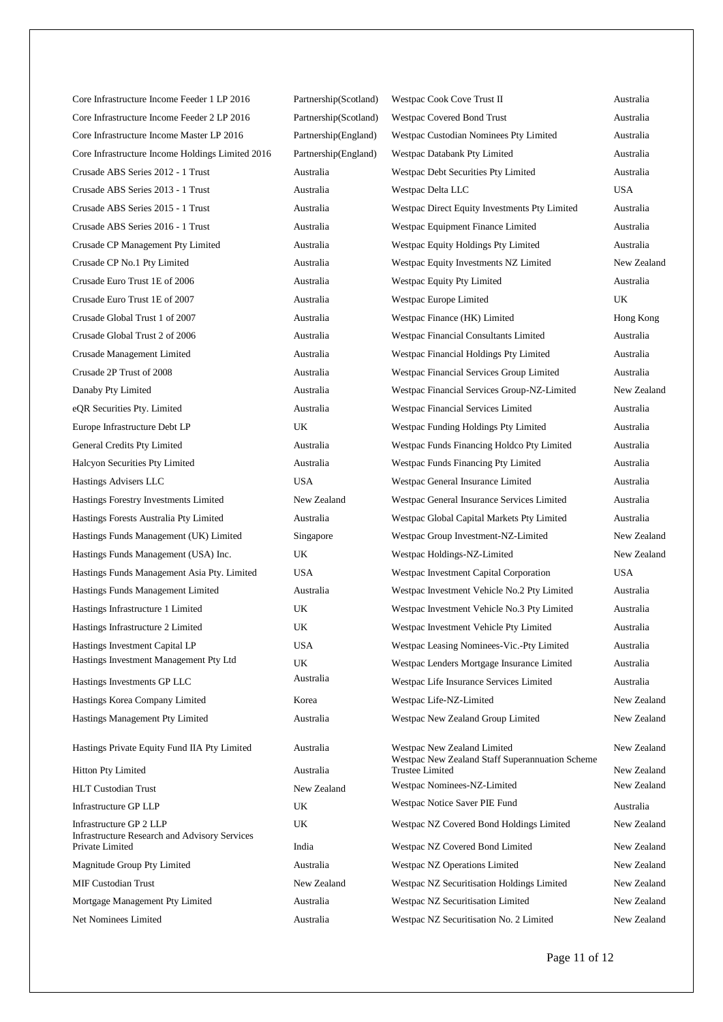| Core Infrastructure Income Feeder 1 LP 2016                             | Partnership(Scotland) | Westpac Cook Cove Trust II                                                | Australia   |
|-------------------------------------------------------------------------|-----------------------|---------------------------------------------------------------------------|-------------|
| Core Infrastructure Income Feeder 2 LP 2016                             | Partnership(Scotland) | Westpac Covered Bond Trust                                                | Australia   |
| Core Infrastructure Income Master LP 2016                               | Partnership(England)  | Westpac Custodian Nominees Pty Limited                                    | Australia   |
| Core Infrastructure Income Holdings Limited 2016                        | Partnership(England)  | Westpac Databank Pty Limited                                              | Australia   |
| Crusade ABS Series 2012 - 1 Trust                                       | Australia             | Westpac Debt Securities Pty Limited                                       | Australia   |
| Crusade ABS Series 2013 - 1 Trust                                       | Australia             | Westpac Delta LLC                                                         | <b>USA</b>  |
| Crusade ABS Series 2015 - 1 Trust                                       | Australia             | Westpac Direct Equity Investments Pty Limited                             | Australia   |
| Crusade ABS Series 2016 - 1 Trust                                       | Australia             | Westpac Equipment Finance Limited                                         | Australia   |
| Crusade CP Management Pty Limited                                       | Australia             | Westpac Equity Holdings Pty Limited                                       | Australia   |
| Crusade CP No.1 Pty Limited                                             | Australia             | Westpac Equity Investments NZ Limited                                     | New Zealand |
| Crusade Euro Trust 1E of 2006                                           | Australia             | Westpac Equity Pty Limited                                                | Australia   |
| Crusade Euro Trust 1E of 2007                                           | Australia             | Westpac Europe Limited                                                    | UK          |
| Crusade Global Trust 1 of 2007                                          | Australia             | Westpac Finance (HK) Limited                                              | Hong Kong   |
| Crusade Global Trust 2 of 2006                                          | Australia             | Westpac Financial Consultants Limited                                     | Australia   |
| Crusade Management Limited                                              | Australia             | Westpac Financial Holdings Pty Limited                                    | Australia   |
| Crusade 2P Trust of 2008                                                | Australia             | Westpac Financial Services Group Limited                                  | Australia   |
| Danaby Pty Limited                                                      | Australia             | Westpac Financial Services Group-NZ-Limited                               | New Zealand |
| eQR Securities Pty. Limited                                             | Australia             | Westpac Financial Services Limited                                        | Australia   |
| Europe Infrastructure Debt LP                                           | UK                    | Westpac Funding Holdings Pty Limited                                      | Australia   |
| General Credits Pty Limited                                             | Australia             | Westpac Funds Financing Holdco Pty Limited                                | Australia   |
| Halcyon Securities Pty Limited                                          | Australia             | Westpac Funds Financing Pty Limited                                       | Australia   |
| Hastings Advisers LLC                                                   | <b>USA</b>            | Westpac General Insurance Limited                                         | Australia   |
| Hastings Forestry Investments Limited                                   | New Zealand           | Westpac General Insurance Services Limited                                | Australia   |
| Hastings Forests Australia Pty Limited                                  | Australia             | Westpac Global Capital Markets Pty Limited                                | Australia   |
| Hastings Funds Management (UK) Limited                                  | Singapore             | Westpac Group Investment-NZ-Limited                                       | New Zealand |
| Hastings Funds Management (USA) Inc.                                    | UK                    | Westpac Holdings-NZ-Limited                                               | New Zealand |
| Hastings Funds Management Asia Pty. Limited                             | USA                   | Westpac Investment Capital Corporation                                    | USA         |
| Hastings Funds Management Limited                                       | Australia             | Westpac Investment Vehicle No.2 Pty Limited                               | Australia   |
| Hastings Infrastructure 1 Limited                                       | UK                    | Westpac Investment Vehicle No.3 Pty Limited                               | Australia   |
| Hastings Infrastructure 2 Limited                                       | UK                    | Westpac Investment Vehicle Pty Limited                                    | Australia   |
| Hastings Investment Capital LP                                          | <b>USA</b>            | Westpac Leasing Nominees-Vic.-Pty Limited                                 | Australia   |
| Hastings Investment Management Pty Ltd                                  | UK                    | Westpac Lenders Mortgage Insurance Limited                                | Australia   |
| Hastings Investments GP LLC                                             | Australia             | Westpac Life Insurance Services Limited                                   | Australia   |
| Hastings Korea Company Limited                                          | Korea                 | Westpac Life-NZ-Limited                                                   | New Zealand |
| Hastings Management Pty Limited                                         | Australia             | Westpac New Zealand Group Limited                                         | New Zealand |
|                                                                         |                       |                                                                           |             |
| Hastings Private Equity Fund IIA Pty Limited                            | Australia             | Westpac New Zealand Limited                                               | New Zealand |
| <b>Hitton Pty Limited</b>                                               | Australia             | Westpac New Zealand Staff Superannuation Scheme<br><b>Trustee Limited</b> | New Zealand |
| HLT Custodian Trust                                                     | New Zealand           | Westpac Nominees-NZ-Limited                                               | New Zealand |
| Infrastructure GP LLP                                                   | UK                    | Westpac Notice Saver PIE Fund                                             | Australia   |
| Infrastructure GP 2 LLP                                                 | UK                    | Westpac NZ Covered Bond Holdings Limited                                  | New Zealand |
| <b>Infrastructure Research and Advisory Services</b><br>Private Limited | India                 | Westpac NZ Covered Bond Limited                                           | New Zealand |
| Magnitude Group Pty Limited                                             | Australia             | Westpac NZ Operations Limited                                             | New Zealand |
| <b>MIF Custodian Trust</b>                                              | New Zealand           | Westpac NZ Securitisation Holdings Limited                                | New Zealand |
| Mortgage Management Pty Limited                                         | Australia             | Westpac NZ Securitisation Limited                                         | New Zealand |
| Net Nominees Limited                                                    | Australia             | Westpac NZ Securitisation No. 2 Limited                                   | New Zealand |
|                                                                         |                       |                                                                           |             |